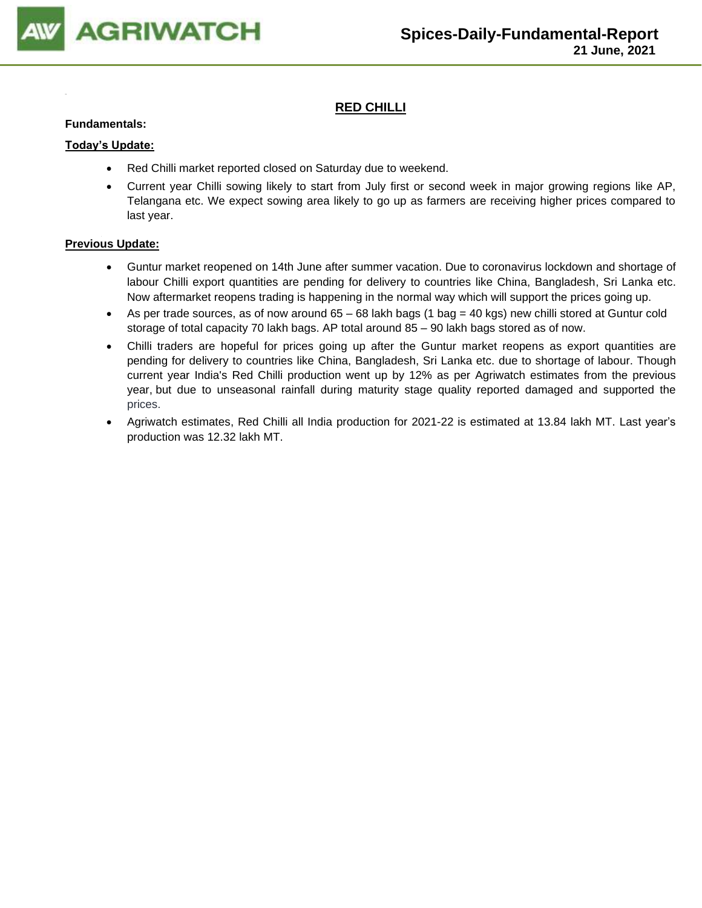

## **RED CHILLI**

#### **Fundamentals:**

#### **Today's Update:**

- Red Chilli market reported closed on Saturday due to weekend.
- Current year Chilli sowing likely to start from July first or second week in major growing regions like AP, Telangana etc. We expect sowing area likely to go up as farmers are receiving higher prices compared to last year.

- Guntur market reopened on 14th June after summer vacation. Due to coronavirus lockdown and shortage of labour Chilli export quantities are pending for delivery to countries like China, Bangladesh, Sri Lanka etc. Now aftermarket reopens trading is happening in the normal way which will support the prices going up.
- As per trade sources, as of now around 65 68 lakh bags (1 bag = 40 kgs) new chilli stored at Guntur cold storage of total capacity 70 lakh bags. AP total around 85 – 90 lakh bags stored as of now.
- Chilli traders are hopeful for prices going up after the Guntur market reopens as export quantities are pending for delivery to countries like China, Bangladesh, Sri Lanka etc. due to shortage of labour. Though current year India's Red Chilli production went up by 12% as per Agriwatch estimates from the previous year, but due to unseasonal rainfall during maturity stage quality reported damaged and supported the prices.
- Agriwatch estimates, Red Chilli all India production for 2021-22 is estimated at 13.84 lakh MT. Last year's production was 12.32 lakh MT.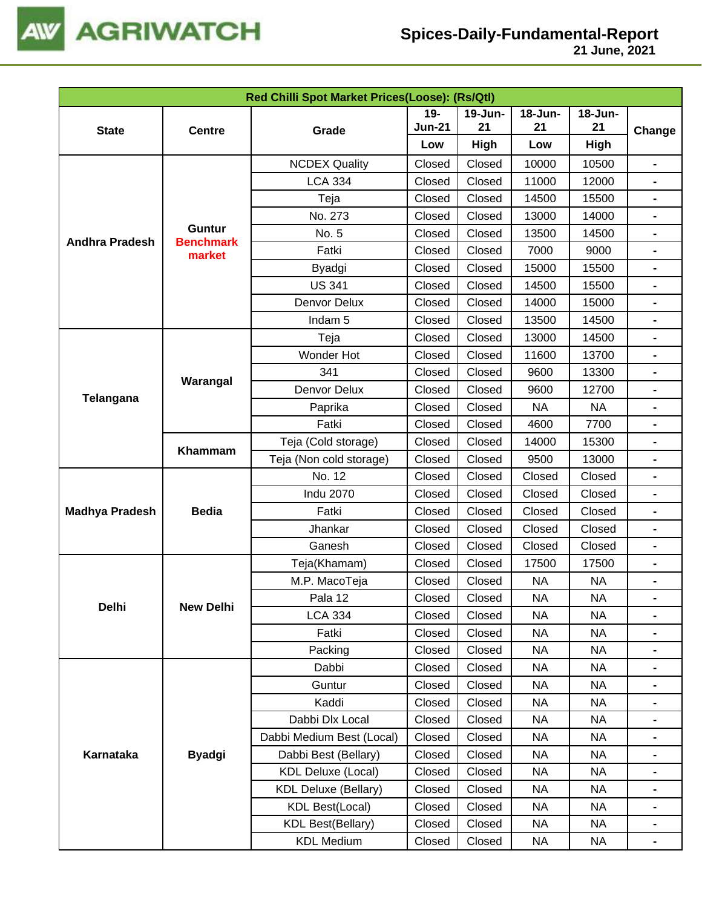

|                       |                                   | Red Chilli Spot Market Prices(Loose): (Rs/Qtl) |                                            |             |           |           |                                                                                                                       |  |  |
|-----------------------|-----------------------------------|------------------------------------------------|--------------------------------------------|-------------|-----------|-----------|-----------------------------------------------------------------------------------------------------------------------|--|--|
|                       |                                   |                                                | $19 -$<br>$19$ -Jun-                       |             | 18-Jun-   | 18-Jun-   |                                                                                                                       |  |  |
| <b>State</b>          | <b>Centre</b>                     | Grade                                          | <b>Jun-21</b>                              | 21          | 21        | 21        | Change                                                                                                                |  |  |
|                       |                                   |                                                | Low                                        | <b>High</b> | Low       | High      | -<br>-<br>-<br>-<br>-<br>-<br>-<br>-<br>-<br>-<br>-<br>$\blacksquare$<br>-<br>-<br>-<br>-<br>$\blacksquare$<br>-<br>- |  |  |
|                       |                                   | <b>NCDEX Quality</b>                           | Closed                                     | Closed      | 10000     | 10500     |                                                                                                                       |  |  |
|                       |                                   | <b>LCA 334</b>                                 | Closed                                     | Closed      | 11000     | 12000     |                                                                                                                       |  |  |
|                       |                                   | Teja                                           | Closed                                     | Closed      | 14500     | 15500     |                                                                                                                       |  |  |
|                       |                                   | No. 273                                        | Closed                                     | Closed      | 13000     | 14000     |                                                                                                                       |  |  |
| <b>Andhra Pradesh</b> | <b>Guntur</b><br><b>Benchmark</b> | No. 5                                          | Closed                                     | Closed      | 13500     | 14500     |                                                                                                                       |  |  |
|                       | market                            | Fatki                                          | Closed                                     | Closed      | 7000      | 9000      |                                                                                                                       |  |  |
|                       |                                   | Byadgi                                         | Closed                                     | Closed      | 15000     | 15500     |                                                                                                                       |  |  |
|                       |                                   | <b>US 341</b>                                  | Closed                                     | Closed      | 14500     | 15500     |                                                                                                                       |  |  |
|                       |                                   | Denvor Delux                                   | Closed                                     | Closed      | 14000     | 15000     |                                                                                                                       |  |  |
|                       |                                   | Indam <sub>5</sub>                             | Closed                                     | Closed      | 13500     | 14500     |                                                                                                                       |  |  |
|                       |                                   | Teja                                           | Closed                                     | Closed      | 13000     | 14500     |                                                                                                                       |  |  |
| <b>Telangana</b>      |                                   | Wonder Hot                                     | Closed                                     | Closed      | 11600     | 13700     |                                                                                                                       |  |  |
|                       |                                   | 341                                            | Closed                                     | Closed      | 9600      | 13300     |                                                                                                                       |  |  |
|                       | Warangal                          | Denvor Delux                                   | Closed                                     | Closed      | 9600      | 12700     |                                                                                                                       |  |  |
|                       |                                   | Paprika                                        | Closed<br>Closed<br><b>NA</b><br><b>NA</b> |             |           |           |                                                                                                                       |  |  |
|                       |                                   | Fatki                                          | Closed                                     | Closed      | 4600      | 7700      |                                                                                                                       |  |  |
|                       |                                   | Teja (Cold storage)                            | Closed                                     | Closed      | 14000     | 15300     |                                                                                                                       |  |  |
|                       | Khammam                           | Teja (Non cold storage)                        | Closed                                     | Closed      | 9500      | 13000     |                                                                                                                       |  |  |
|                       |                                   | No. 12                                         | Closed                                     | Closed      | Closed    | Closed    |                                                                                                                       |  |  |
|                       |                                   | <b>Indu 2070</b>                               | Closed                                     | Closed      | Closed    | Closed    |                                                                                                                       |  |  |
| <b>Madhya Pradesh</b> | <b>Bedia</b>                      | Fatki                                          | Closed<br>Closed<br>Closed                 | Closed      |           |           |                                                                                                                       |  |  |
|                       |                                   | Jhankar                                        | Closed                                     | Closed      | Closed    | Closed    |                                                                                                                       |  |  |
|                       |                                   | Ganesh                                         | Closed                                     | Closed      | Closed    | Closed    |                                                                                                                       |  |  |
|                       |                                   | Teja(Khamam)                                   | Closed                                     | Closed      | 17500     | 17500     |                                                                                                                       |  |  |
|                       |                                   | M.P. MacoTeja                                  | Closed                                     | Closed      | <b>NA</b> | <b>NA</b> |                                                                                                                       |  |  |
|                       |                                   | Pala 12                                        | Closed                                     | Closed      | <b>NA</b> | <b>NA</b> |                                                                                                                       |  |  |
| Delhi                 | <b>New Delhi</b>                  | <b>LCA 334</b>                                 | Closed                                     | Closed      | <b>NA</b> | <b>NA</b> |                                                                                                                       |  |  |
|                       |                                   | Fatki                                          | Closed                                     | Closed      | <b>NA</b> | <b>NA</b> |                                                                                                                       |  |  |
|                       |                                   | Packing                                        | Closed                                     | Closed      | <b>NA</b> | <b>NA</b> |                                                                                                                       |  |  |
|                       |                                   | Dabbi                                          | Closed                                     | Closed      | <b>NA</b> | <b>NA</b> |                                                                                                                       |  |  |
|                       |                                   | Guntur                                         | Closed                                     | Closed      | <b>NA</b> | <b>NA</b> |                                                                                                                       |  |  |
|                       |                                   | Kaddi                                          | Closed                                     | Closed      | <b>NA</b> | <b>NA</b> |                                                                                                                       |  |  |
|                       |                                   | Dabbi Dlx Local                                | Closed                                     | Closed      | <b>NA</b> | <b>NA</b> |                                                                                                                       |  |  |
|                       |                                   | Dabbi Medium Best (Local)                      | Closed                                     | Closed      | NA        | <b>NA</b> |                                                                                                                       |  |  |
| Karnataka             | <b>Byadgi</b>                     | Dabbi Best (Bellary)                           | Closed                                     | Closed      | <b>NA</b> | <b>NA</b> |                                                                                                                       |  |  |
|                       |                                   | <b>KDL Deluxe (Local)</b>                      | Closed                                     | Closed      | <b>NA</b> | <b>NA</b> |                                                                                                                       |  |  |
|                       |                                   | <b>KDL Deluxe (Bellary)</b>                    | Closed                                     | Closed      | <b>NA</b> | <b>NA</b> |                                                                                                                       |  |  |
|                       |                                   | <b>KDL Best(Local)</b>                         | Closed                                     | Closed      | <b>NA</b> | <b>NA</b> | -                                                                                                                     |  |  |
|                       |                                   | <b>KDL Best(Bellary)</b>                       | Closed                                     | Closed      | <b>NA</b> | <b>NA</b> |                                                                                                                       |  |  |
|                       |                                   | <b>KDL Medium</b>                              | Closed                                     | Closed      | <b>NA</b> | <b>NA</b> | $\blacksquare$                                                                                                        |  |  |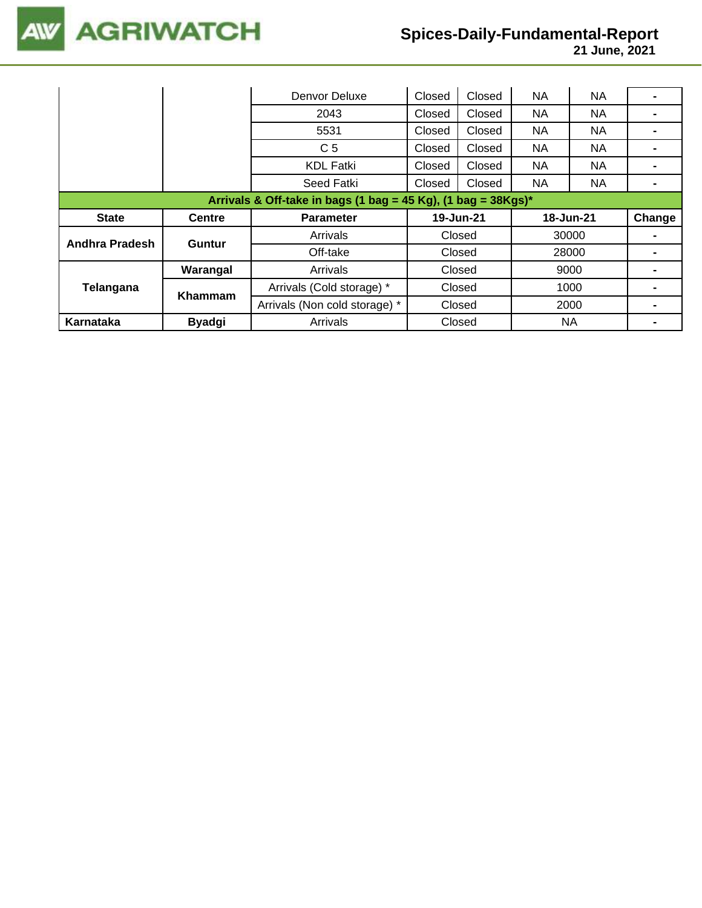

|                                                                  |               | Denvor Deluxe                 | Closed | Closed    | <b>NA</b> | <b>NA</b> |        |  |  |
|------------------------------------------------------------------|---------------|-------------------------------|--------|-----------|-----------|-----------|--------|--|--|
|                                                                  |               | 2043                          | Closed | Closed    | <b>NA</b> | NA        |        |  |  |
|                                                                  |               | 5531                          | Closed | Closed    | <b>NA</b> | NA.       |        |  |  |
|                                                                  |               | C <sub>5</sub>                | Closed | Closed    | <b>NA</b> | NA.       |        |  |  |
|                                                                  |               | <b>KDL Fatki</b>              | Closed | Closed    | <b>NA</b> | NA        |        |  |  |
|                                                                  |               | Seed Fatki                    | Closed | Closed    | <b>NA</b> | NA.       |        |  |  |
| Arrivals & Off-take in bags (1 bag = 45 Kg), (1 bag = $38Kgs$ )* |               |                               |        |           |           |           |        |  |  |
|                                                                  |               |                               |        |           |           |           |        |  |  |
| <b>State</b>                                                     | <b>Centre</b> | <b>Parameter</b>              |        | 19-Jun-21 | 18-Jun-21 |           | Change |  |  |
|                                                                  |               | Arrivals                      |        | Closed    |           | 30000     |        |  |  |
| <b>Andhra Pradesh</b>                                            | <b>Guntur</b> | Off-take                      |        | Closed    |           | 28000     |        |  |  |
|                                                                  | Warangal      | Arrivals                      |        | Closed    |           | 9000      |        |  |  |
| Telangana                                                        |               | Arrivals (Cold storage) *     |        | Closed    |           | 1000      |        |  |  |
|                                                                  | Khammam       | Arrivals (Non cold storage) * |        | Closed    |           | 2000      |        |  |  |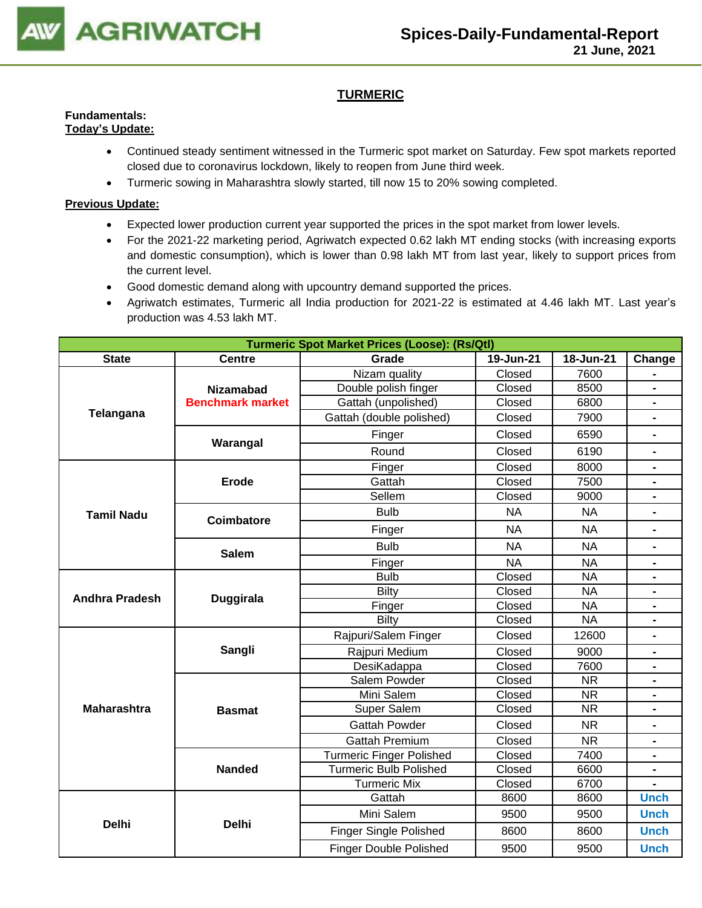

## **TURMERIC**

#### **Fundamentals: Today's Update:**

- Continued steady sentiment witnessed in the Turmeric spot market on Saturday. Few spot markets reported closed due to coronavirus lockdown, likely to reopen from June third week.
- Turmeric sowing in Maharashtra slowly started, till now 15 to 20% sowing completed.

- Expected lower production current year supported the prices in the spot market from lower levels.
- For the 2021-22 marketing period, Agriwatch expected 0.62 lakh MT ending stocks (with increasing exports and domestic consumption), which is lower than 0.98 lakh MT from last year, likely to support prices from the current level.
- Good domestic demand along with upcountry demand supported the prices.
- Agriwatch estimates, Turmeric all India production for 2021-22 is estimated at 4.46 lakh MT. Last year's production was 4.53 lakh MT.

|                       |                         | <b>Turmeric Spot Market Prices (Loose): (Rs/Qtl)</b> |                  |                        |                                                                                                                                              |  |  |  |
|-----------------------|-------------------------|------------------------------------------------------|------------------|------------------------|----------------------------------------------------------------------------------------------------------------------------------------------|--|--|--|
| <b>State</b>          | <b>Centre</b>           | Grade                                                | 19-Jun-21        | 18-Jun-21              | Change                                                                                                                                       |  |  |  |
|                       |                         | Nizam quality                                        | Closed           | 7600                   |                                                                                                                                              |  |  |  |
|                       | <b>Nizamabad</b>        | Double polish finger                                 | Closed           | 8500                   |                                                                                                                                              |  |  |  |
|                       | <b>Benchmark market</b> | Gattah (unpolished)                                  | Closed           | 6800                   | $\blacksquare$                                                                                                                               |  |  |  |
| Telangana             |                         | Gattah (double polished)                             | Closed           | 7900                   | $\overline{\phantom{0}}$                                                                                                                     |  |  |  |
|                       | Warangal                | Finger                                               | Closed           | 6590                   |                                                                                                                                              |  |  |  |
|                       |                         | Round                                                | Closed           | 6190                   | $\blacksquare$                                                                                                                               |  |  |  |
|                       |                         | Finger                                               | Closed           | 8000                   |                                                                                                                                              |  |  |  |
|                       | <b>Erode</b>            | Gattah                                               | Closed           | 7500                   |                                                                                                                                              |  |  |  |
|                       |                         | Sellem                                               | Closed           | 9000                   | -<br>$\blacksquare$<br>-<br>$\blacksquare$<br>$\blacksquare$<br>$\blacksquare$<br>$\blacksquare$<br>$\blacksquare$<br>-<br>Ξ.<br><b>Unch</b> |  |  |  |
| <b>Tamil Nadu</b>     | <b>Coimbatore</b>       | <b>Bulb</b>                                          | <b>NA</b>        | <b>NA</b>              |                                                                                                                                              |  |  |  |
|                       |                         | Finger                                               | <b>NA</b>        | <b>NA</b>              |                                                                                                                                              |  |  |  |
|                       | <b>Salem</b>            | <b>Bulb</b>                                          | <b>NA</b>        | <b>NA</b>              |                                                                                                                                              |  |  |  |
|                       |                         | Finger                                               | <b>NA</b>        | <b>NA</b>              |                                                                                                                                              |  |  |  |
|                       |                         | <b>Bulb</b>                                          | Closed           | <b>NA</b>              |                                                                                                                                              |  |  |  |
| <b>Andhra Pradesh</b> | <b>Duggirala</b>        | <b>Bilty</b>                                         | Closed           | <b>NA</b>              |                                                                                                                                              |  |  |  |
|                       |                         | Finger                                               | Closed           | <b>NA</b>              |                                                                                                                                              |  |  |  |
|                       |                         | Bilty                                                | Closed           | <b>NA</b>              |                                                                                                                                              |  |  |  |
|                       |                         | Rajpuri/Salem Finger                                 | Closed           | 12600                  |                                                                                                                                              |  |  |  |
|                       | Sangli                  | Rajpuri Medium                                       | Closed           | 9000                   |                                                                                                                                              |  |  |  |
|                       |                         | DesiKadappa                                          | Closed           | 7600                   |                                                                                                                                              |  |  |  |
|                       |                         | Salem Powder                                         | Closed<br>Closed | <b>NR</b>              |                                                                                                                                              |  |  |  |
|                       |                         | Mini Salem                                           | <b>NR</b>        |                        |                                                                                                                                              |  |  |  |
| <b>Maharashtra</b>    | <b>Basmat</b>           | <b>Super Salem</b>                                   | Closed           | <b>NR</b>              |                                                                                                                                              |  |  |  |
|                       |                         | <b>Gattah Powder</b>                                 | Closed           | <b>NR</b>              |                                                                                                                                              |  |  |  |
|                       |                         | <b>Gattah Premium</b>                                | Closed           | $\overline{\text{NR}}$ |                                                                                                                                              |  |  |  |
|                       |                         | <b>Turmeric Finger Polished</b>                      | Closed           | 7400                   |                                                                                                                                              |  |  |  |
|                       | <b>Nanded</b>           | <b>Turmeric Bulb Polished</b>                        | Closed           | 6600                   |                                                                                                                                              |  |  |  |
|                       |                         | <b>Turmeric Mix</b>                                  | Closed           | 6700                   |                                                                                                                                              |  |  |  |
|                       |                         | Gattah                                               | 8600             | 8600                   |                                                                                                                                              |  |  |  |
| <b>Delhi</b>          | <b>Delhi</b>            | Mini Salem                                           | 9500             | 9500                   | <b>Unch</b>                                                                                                                                  |  |  |  |
|                       |                         | <b>Finger Single Polished</b>                        | 8600             | 8600                   | <b>Unch</b>                                                                                                                                  |  |  |  |
|                       |                         | <b>Finger Double Polished</b>                        | 9500             | 9500                   | <b>Unch</b>                                                                                                                                  |  |  |  |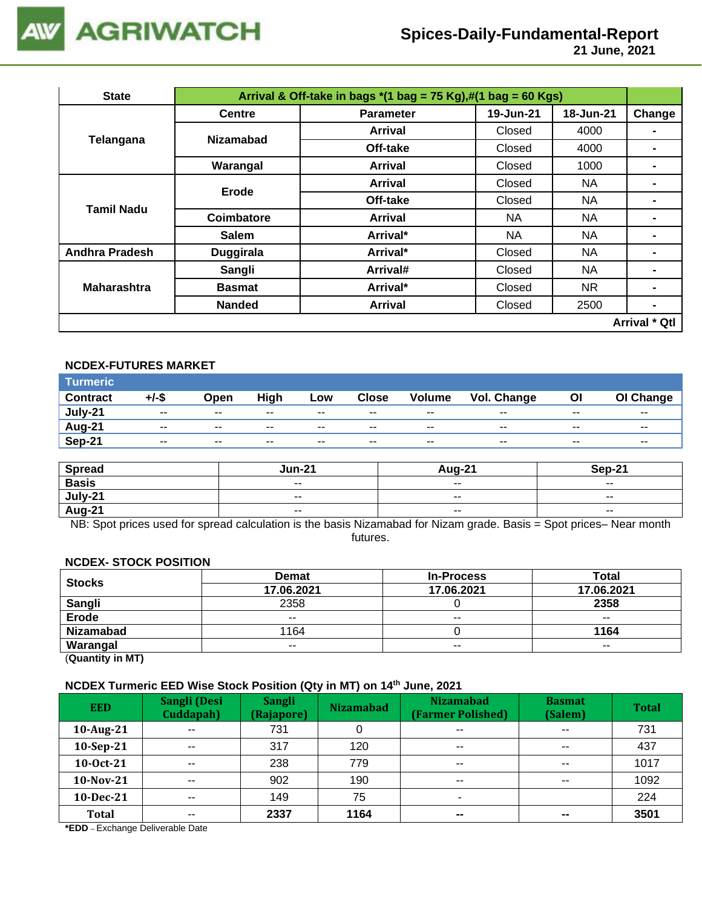

 **21 June, 2021**

| <b>State</b>          |                  | Arrival & Off-take in bags $*(1 \text{ bag} = 75 \text{ Kg}), \#(1 \text{ bag} = 60 \text{ Kg})$ |           |           |                      |  |  |  |  |
|-----------------------|------------------|--------------------------------------------------------------------------------------------------|-----------|-----------|----------------------|--|--|--|--|
|                       | <b>Centre</b>    | <b>Parameter</b>                                                                                 | 19-Jun-21 | 18-Jun-21 | Change               |  |  |  |  |
| Telangana             | <b>Nizamabad</b> | Arrival                                                                                          | Closed    | 4000      |                      |  |  |  |  |
|                       |                  | Off-take                                                                                         | Closed    | 4000      | $\blacksquare$       |  |  |  |  |
|                       | Warangal         | Arrival                                                                                          | Closed    | 1000      | ۰                    |  |  |  |  |
|                       | Erode            | Arrival                                                                                          | Closed    | NA.       | ۰                    |  |  |  |  |
| <b>Tamil Nadu</b>     |                  | Off-take<br>Closed                                                                               |           | NA        |                      |  |  |  |  |
|                       | Coimbatore       | <b>Arrival</b>                                                                                   | NA.       | <b>NA</b> | $\blacksquare$       |  |  |  |  |
|                       | <b>Salem</b>     | Arrival*                                                                                         | NA.       | <b>NA</b> | ۰                    |  |  |  |  |
| <b>Andhra Pradesh</b> | <b>Duggirala</b> | Arrival*                                                                                         | Closed    | <b>NA</b> |                      |  |  |  |  |
|                       | Sangli           | Arrival#                                                                                         | Closed    | NA        | -                    |  |  |  |  |
| <b>Maharashtra</b>    | <b>Basmat</b>    | Arrival*                                                                                         | Closed    | NR.       | ۰                    |  |  |  |  |
|                       | <b>Nanded</b>    | <b>Arrival</b>                                                                                   | Closed    | 2500      | $\blacksquare$       |  |  |  |  |
|                       |                  |                                                                                                  |           |           | <b>Arrival * Qtl</b> |  |  |  |  |

## **NCDEX-FUTURES MARKET**

| Turmeric        |               |               |             |        |              |                          |             |       |           |
|-----------------|---------------|---------------|-------------|--------|--------------|--------------------------|-------------|-------|-----------|
| <b>Contract</b> | +/-\$         | Open          | <b>High</b> | Low    | <b>Close</b> | Volume                   | Vol. Change | ΟI    | OI Change |
| July-21         | $\sim$ $\sim$ | $\sim$ $\sim$ | $- -$       | $\sim$ | $- -$        | $- -$                    | $- -$       | $- -$ | $- -$     |
| Aug-21          | $- -$         | $- -$         | $- -$       | $- -$  | $- -$        | $\overline{\phantom{a}}$ | $- -$       | $- -$ | $- -$     |
| <b>Sep-21</b>   | $- -$         | $- -$         | $- -$       | $- -$  | $- -$        | $- -$                    | $- -$       | $- -$ | $- -$     |

| <b>Spread</b> | Jun-21                   | Aug-21                   | Sep-21                   |
|---------------|--------------------------|--------------------------|--------------------------|
| <b>Basis</b>  | $\overline{\phantom{a}}$ | $\sim$ $\sim$            | $\sim$ $\sim$            |
| July-21       | $\sim$ $\sim$            | $\overline{\phantom{a}}$ | $\overline{\phantom{a}}$ |
| Aug-21        | $- -$                    | $- -$                    | $- -$                    |

NB: Spot prices used for spread calculation is the basis Nizamabad for Nizam grade. Basis = Spot prices– Near month futures.

#### **NCDEX- STOCK POSITION**

| <b>Stocks</b>    | <b>Demat</b> | <b>In-Process</b> | Total         |
|------------------|--------------|-------------------|---------------|
|                  | 17.06.2021   | 17.06.2021        | 17.06.2021    |
| Sangli           | 2358         |                   | 2358          |
| <b>Erode</b>     | $- -$        | $- -$             | $- -$         |
| <b>Nizamabad</b> | 1164         |                   | 1164          |
| Warangal         | $- -$        | $\sim$ $\sim$     | $\sim$ $\sim$ |
|                  |              |                   |               |

(**Quantity in MT)**

## **NCDEX Turmeric EED Wise Stock Position (Qty in MT) on 14th June, 2021**

| <b>EED</b>   | Sangli (Desi<br>Cuddapah) | <b>Sangli</b><br>(Rajapore) | <b>Nizamabad</b> | <b>Nizamabad</b><br>(Farmer Polished) | <b>Basmat</b><br>(Salem) | <b>Total</b> |
|--------------|---------------------------|-----------------------------|------------------|---------------------------------------|--------------------------|--------------|
| 10-Aug-21    | $\sim$ $\sim$             | 731                         |                  | $- -$                                 | $\sim$ $\sim$            | 731          |
| 10-Sep-21    | $- -$                     | 317                         | 120              | $\sim$ $\sim$                         | $\sim$ $\sim$            | 437          |
| 10-0ct-21    | $\sim$ $\sim$             | 238                         | 779              | $\sim$ $\sim$                         | $\sim$ $\sim$            | 1017         |
| 10-Nov-21    | $- -$                     | 902                         | 190              | $- -$                                 | $- -$                    | 1092         |
| 10-Dec-21    | $- -$                     | 149                         | 75               | ۰                                     |                          | 224          |
| <b>Total</b> | $- -$                     | 2337                        | 1164             | $\overline{\phantom{m}}$              | $\sim$                   | 3501         |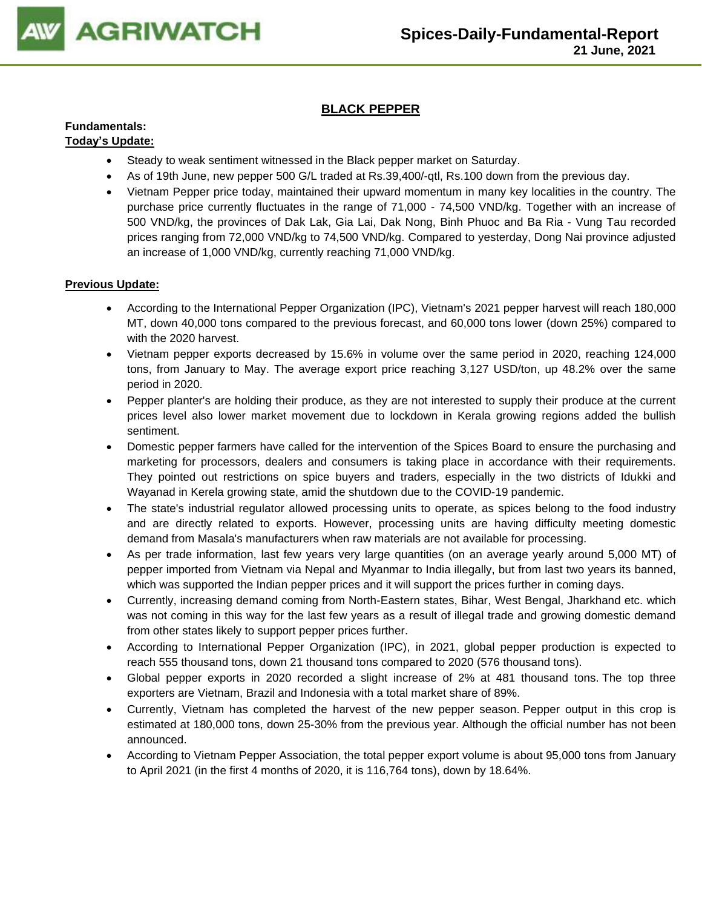

## **BLACK PEPPER**

#### **Fundamentals: Today's Update:**

- Steady to weak sentiment witnessed in the Black pepper market on Saturday.
- As of 19th June, new pepper 500 G/L traded at Rs.39,400/-qtl, Rs.100 down from the previous day.
- Vietnam Pepper price today, maintained their upward momentum in many key localities in the country. The purchase price currently fluctuates in the range of 71,000 - 74,500 VND/kg. Together with an increase of 500 VND/kg, the provinces of Dak Lak, Gia Lai, Dak Nong, Binh Phuoc and Ba Ria - Vung Tau recorded prices ranging from 72,000 VND/kg to 74,500 VND/kg. Compared to yesterday, Dong Nai province adjusted an increase of 1,000 VND/kg, currently reaching 71,000 VND/kg.

- According to the International Pepper Organization (IPC), Vietnam's 2021 pepper harvest will reach 180,000 MT, down 40,000 tons compared to the previous forecast, and 60,000 tons lower (down 25%) compared to with the 2020 harvest.
- Vietnam pepper exports decreased by 15.6% in volume over the same period in 2020, reaching 124,000 tons, from January to May. The average export price reaching 3,127 USD/ton, up 48.2% over the same period in 2020.
- Pepper planter's are holding their produce, as they are not interested to supply their produce at the current prices level also lower market movement due to lockdown in Kerala growing regions added the bullish sentiment.
- Domestic pepper farmers have called for the intervention of the Spices Board to ensure the purchasing and marketing for processors, dealers and consumers is taking place in accordance with their requirements. They pointed out restrictions on spice buyers and traders, especially in the two districts of Idukki and Wayanad in Kerela growing state, amid the shutdown due to the COVID-19 pandemic.
- The state's industrial regulator allowed processing units to operate, as spices belong to the food industry and are directly related to exports. However, processing units are having difficulty meeting domestic demand from Masala's manufacturers when raw materials are not available for processing.
- As per trade information, last few years very large quantities (on an average yearly around 5,000 MT) of pepper imported from Vietnam via Nepal and Myanmar to India illegally, but from last two years its banned, which was supported the Indian pepper prices and it will support the prices further in coming days.
- Currently, increasing demand coming from North-Eastern states, Bihar, West Bengal, Jharkhand etc. which was not coming in this way for the last few years as a result of illegal trade and growing domestic demand from other states likely to support pepper prices further.
- According to International Pepper Organization (IPC), in 2021, global pepper production is expected to reach 555 thousand tons, down 21 thousand tons compared to 2020 (576 thousand tons).
- Global pepper exports in 2020 recorded a slight increase of 2% at 481 thousand tons. The top three exporters are Vietnam, Brazil and Indonesia with a total market share of 89%.
- Currently, Vietnam has completed the harvest of the new pepper season. Pepper output in this crop is estimated at 180,000 tons, down 25-30% from the previous year. Although the official number has not been announced.
- According to Vietnam Pepper Association, the total pepper export volume is about 95,000 tons from January to April 2021 (in the first 4 months of 2020, it is 116,764 tons), down by 18.64%.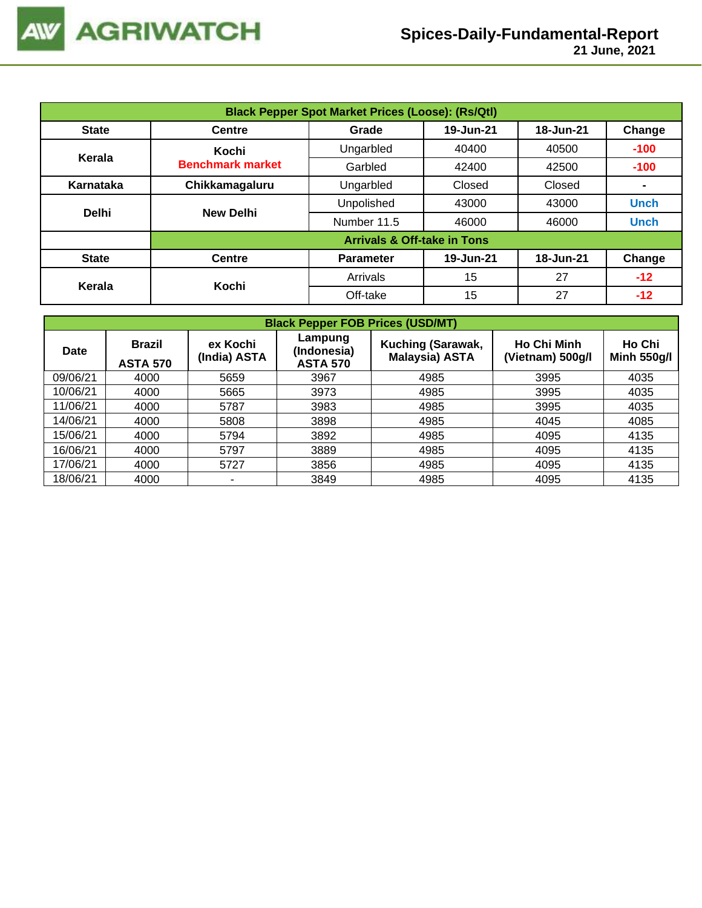| <b>Black Pepper Spot Market Prices (Loose): (Rs/Qtl)</b> |                         |                                           |           |           |                |  |  |  |
|----------------------------------------------------------|-------------------------|-------------------------------------------|-----------|-----------|----------------|--|--|--|
| <b>State</b>                                             | <b>Centre</b>           | 19-Jun-21<br>18-Jun-21<br>Change<br>Grade |           |           |                |  |  |  |
| Kerala                                                   | Kochi                   | Ungarbled                                 | 40400     | 40500     | $-100$         |  |  |  |
|                                                          | <b>Benchmark market</b> | Garbled                                   | 42400     | 42500     | $-100$         |  |  |  |
| Karnataka                                                | Chikkamagaluru          | Ungarbled                                 | Closed    | Closed    | $\blacksquare$ |  |  |  |
| <b>Delhi</b>                                             | <b>New Delhi</b>        | Unpolished                                | 43000     | 43000     | <b>Unch</b>    |  |  |  |
|                                                          |                         | Number 11.5                               | 46000     | 46000     | <b>Unch</b>    |  |  |  |
|                                                          |                         | <b>Arrivals &amp; Off-take in Tons</b>    |           |           |                |  |  |  |
| <b>State</b>                                             | <b>Centre</b>           | <b>Parameter</b>                          | 19-Jun-21 | 18-Jun-21 | Change         |  |  |  |
|                                                          | Kochi                   | Arrivals                                  | 15        | 27        | $-12$          |  |  |  |
| Kerala                                                   |                         | Off-take                                  | 15        | 27        | $-12$          |  |  |  |

| <b>Black Pepper FOB Prices (USD/MT)</b> |                                  |                          |                                           |                                            |                                        |                              |  |  |  |
|-----------------------------------------|----------------------------------|--------------------------|-------------------------------------------|--------------------------------------------|----------------------------------------|------------------------------|--|--|--|
| Date                                    | <b>Brazil</b><br><b>ASTA 570</b> | ex Kochi<br>(India) ASTA | Lampung<br>(Indonesia)<br><b>ASTA 570</b> | Kuching (Sarawak,<br><b>Malaysia) ASTA</b> | <b>Ho Chi Minh</b><br>(Vietnam) 500g/l | Ho Chi<br><b>Minh 550g/l</b> |  |  |  |
| 09/06/21                                | 4000                             | 5659                     | 3967                                      | 4985                                       | 3995                                   | 4035                         |  |  |  |
| 10/06/21                                | 4000                             | 5665                     | 3973                                      | 4985                                       | 3995                                   | 4035                         |  |  |  |
| 11/06/21                                | 4000                             | 5787                     | 3983                                      | 4985                                       | 3995                                   | 4035                         |  |  |  |
| 14/06/21                                | 4000                             | 5808                     | 3898                                      | 4985                                       | 4045                                   | 4085                         |  |  |  |
| 15/06/21                                | 4000                             | 5794                     | 3892                                      | 4985                                       | 4095                                   | 4135                         |  |  |  |
| 16/06/21                                | 4000                             | 5797                     | 3889                                      | 4985                                       | 4095                                   | 4135                         |  |  |  |
| 17/06/21                                | 4000                             | 5727                     | 3856                                      | 4985                                       | 4095                                   | 4135                         |  |  |  |
| 18/06/21                                | 4000                             | ۰.                       | 3849                                      | 4985                                       | 4095                                   | 4135                         |  |  |  |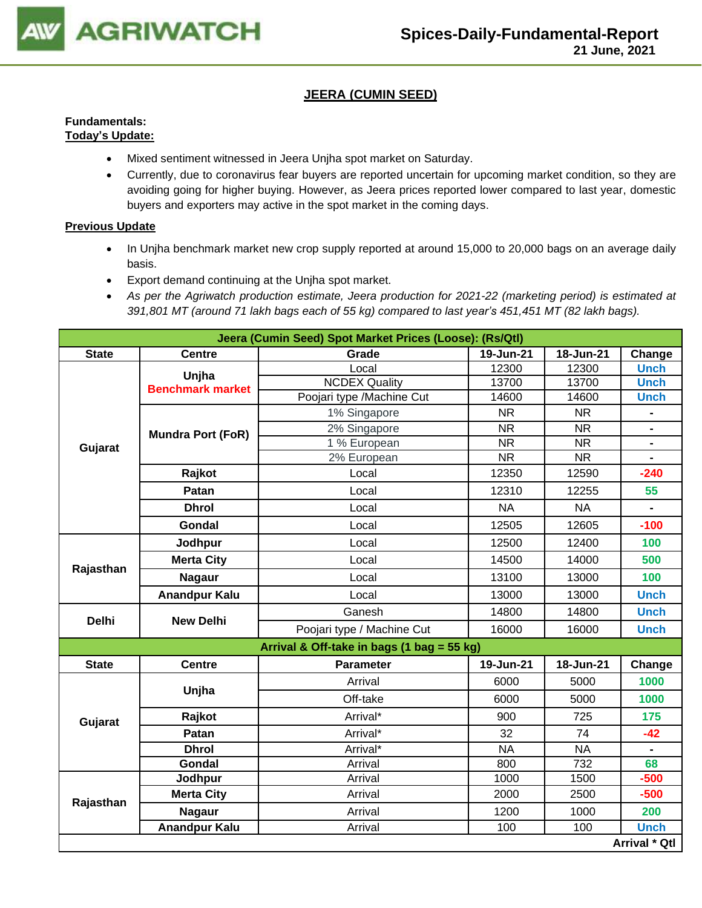

## **JEERA (CUMIN SEED)**

#### **Fundamentals: Today's Update:**

- Mixed sentiment witnessed in Jeera Unjha spot market on Saturday.
- Currently, due to coronavirus fear buyers are reported uncertain for upcoming market condition, so they are avoiding going for higher buying. However, as Jeera prices reported lower compared to last year, domestic buyers and exporters may active in the spot market in the coming days.

- In Unjha benchmark market new crop supply reported at around 15,000 to 20,000 bags on an average daily basis.
- Export demand continuing at the Unjha spot market.
- *As per the Agriwatch production estimate, Jeera production for 2021-22 (marketing period) is estimated at 391,801 MT (around 71 lakh bags each of 55 kg) compared to last year's 451,451 MT (82 lakh bags).*

|              |                          | Jeera (Cumin Seed) Spot Market Prices (Loose): (Rs/Qtl) |           |           |                                                                                                 |  |  |  |  |
|--------------|--------------------------|---------------------------------------------------------|-----------|-----------|-------------------------------------------------------------------------------------------------|--|--|--|--|
| <b>State</b> | <b>Centre</b>            | Grade                                                   | 19-Jun-21 | 18-Jun-21 | Change                                                                                          |  |  |  |  |
|              | Unjha                    | Local                                                   | 12300     | 12300     | <b>Unch</b>                                                                                     |  |  |  |  |
|              | <b>Benchmark market</b>  | <b>NCDEX Quality</b>                                    | 13700     | 13700     | <b>Unch</b>                                                                                     |  |  |  |  |
|              |                          | Poojari type /Machine Cut                               | 14600     | 14600     | <b>Unch</b>                                                                                     |  |  |  |  |
|              |                          | 1% Singapore                                            | <b>NR</b> | <b>NR</b> |                                                                                                 |  |  |  |  |
|              | <b>Mundra Port (FoR)</b> | 2% Singapore                                            | <b>NR</b> | <b>NR</b> | $\blacksquare$                                                                                  |  |  |  |  |
| Gujarat      |                          | 1 % European                                            | <b>NR</b> | <b>NR</b> | $\blacksquare$                                                                                  |  |  |  |  |
|              |                          | 2% European                                             | <b>NR</b> | <b>NR</b> | $\blacksquare$                                                                                  |  |  |  |  |
|              | Rajkot                   | Local                                                   | 12350     | 12590     |                                                                                                 |  |  |  |  |
|              | Patan                    | Local                                                   | 12310     | 12255     | 55                                                                                              |  |  |  |  |
|              | <b>Dhrol</b>             | Local                                                   | <b>NA</b> | <b>NA</b> |                                                                                                 |  |  |  |  |
|              | Gondal                   | Local                                                   | 12505     | 12605     | $-100$                                                                                          |  |  |  |  |
|              | Jodhpur                  | Local                                                   | 12500     | 12400     | 100                                                                                             |  |  |  |  |
|              | <b>Merta City</b>        | Local                                                   | 14500     | 14000     | 500                                                                                             |  |  |  |  |
| Rajasthan    | <b>Nagaur</b>            | Local                                                   | 13100     | 13000     | 100                                                                                             |  |  |  |  |
|              | <b>Anandpur Kalu</b>     | Local                                                   | 13000     | 13000     | <b>Unch</b>                                                                                     |  |  |  |  |
| <b>Delhi</b> | <b>New Delhi</b>         | Ganesh                                                  | 14800     | 14800     | <b>Unch</b>                                                                                     |  |  |  |  |
|              |                          | Poojari type / Machine Cut                              | 16000     | 16000     | <b>Unch</b>                                                                                     |  |  |  |  |
|              |                          | Arrival & Off-take in bags (1 bag = 55 kg)              |           |           |                                                                                                 |  |  |  |  |
| <b>State</b> | <b>Centre</b>            | <b>Parameter</b>                                        | 19-Jun-21 | 18-Jun-21 | Change                                                                                          |  |  |  |  |
|              | Unjha                    | Arrival                                                 | 6000      | 5000      | 1000                                                                                            |  |  |  |  |
|              |                          | Off-take                                                | 6000      | 5000      | $-240$<br>1000<br>175<br>$-42$<br>68<br>$-500$<br>$-500$<br>200<br><b>Unch</b><br>Arrival * Qtl |  |  |  |  |
| Gujarat      | Rajkot                   | Arrival*                                                | 900       | 725       |                                                                                                 |  |  |  |  |
|              | Patan                    | Arrival*                                                | 32        | 74        |                                                                                                 |  |  |  |  |
|              | <b>Dhrol</b>             | Arrival*                                                | <b>NA</b> | <b>NA</b> |                                                                                                 |  |  |  |  |
|              | Gondal                   | Arrival                                                 | 800       | 732       |                                                                                                 |  |  |  |  |
|              | Jodhpur                  | Arrival                                                 | 1000      | 1500      |                                                                                                 |  |  |  |  |
| Rajasthan    | <b>Merta City</b>        | Arrival                                                 | 2000      | 2500      |                                                                                                 |  |  |  |  |
|              | <b>Nagaur</b>            | Arrival                                                 | 1200      | 1000      |                                                                                                 |  |  |  |  |
|              | <b>Anandpur Kalu</b>     | Arrival                                                 | 100       | 100       |                                                                                                 |  |  |  |  |
|              |                          |                                                         |           |           |                                                                                                 |  |  |  |  |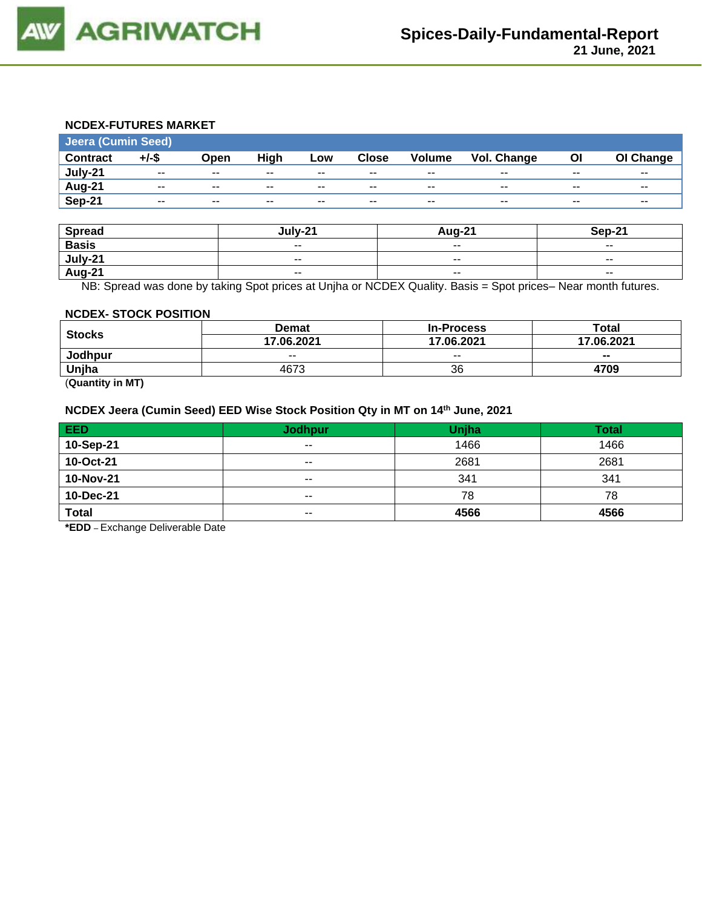

#### **NCDEX-FUTURES MARKET**

| Jeera (Cumin Seed) |          |       |       |       |              |               |                    |       |           |
|--------------------|----------|-------|-------|-------|--------------|---------------|--------------------|-------|-----------|
| <b>Contract</b>    | $+/-$ \$ | Open  | High  | Low   | <b>Close</b> | <b>Volume</b> | <b>Vol. Change</b> | ΟI    | OI Change |
| July-21            | $- -$    | $- -$ | $- -$ | $- -$ | $- -$        | $- -$         | $- -$              | $-$   | $- -$     |
| Aug-21             | $- -$    | $- -$ | --    | $- -$ | $- -$        | $- -$         | $- -$              | $- -$ | $- -$     |
| Sep-21             | $- -$    | $- -$ | $- -$ | $- -$ | $- -$        | $- -$         | $- -$              | $- -$ | $- -$     |

| <b>Spread</b> | lulv-21                  | <b>Aug-21</b>            | Sep-21                   |
|---------------|--------------------------|--------------------------|--------------------------|
| <b>Basis</b>  | $\sim$                   | $- -$                    | $- -$                    |
| July-21       | $\overline{\phantom{a}}$ | $\overline{\phantom{m}}$ | $\overline{\phantom{a}}$ |
| <b>Aug-21</b> | $\overline{\phantom{a}}$ | $- -$                    | $- -$                    |

NB: Spread was done by taking Spot prices at Unjha or NCDEX Quality. Basis = Spot prices– Near month futures.

#### **NCDEX- STOCK POSITION**

|               | <b>Demat</b> | <b>In-Process</b> | Total      |
|---------------|--------------|-------------------|------------|
| <b>Stocks</b> | 17.06.2021   | 17.06.2021        | 17.06.2021 |
| Jodhpur       | $- -$        | $- -$             | $- -$      |
| Unjha         | 4673         | 36                | 4709       |

(**Quantity in MT)**

#### **NCDEX Jeera (Cumin Seed) EED Wise Stock Position Qty in MT on 14th June, 2021**

| EED          | <b>Jodhpur</b>           | Unjha | <b>Total</b> |
|--------------|--------------------------|-------|--------------|
| 10-Sep-21    | $- -$                    | 1466  | 1466         |
| 10-Oct-21    | $- -$                    | 2681  | 2681         |
| 10-Nov-21    | $\sim$ $\sim$            | 341   | 341          |
| 10-Dec-21    | $\sim$ $\sim$            | 78    | 78           |
| <b>Total</b> | $\overline{\phantom{a}}$ | 4566  | 4566         |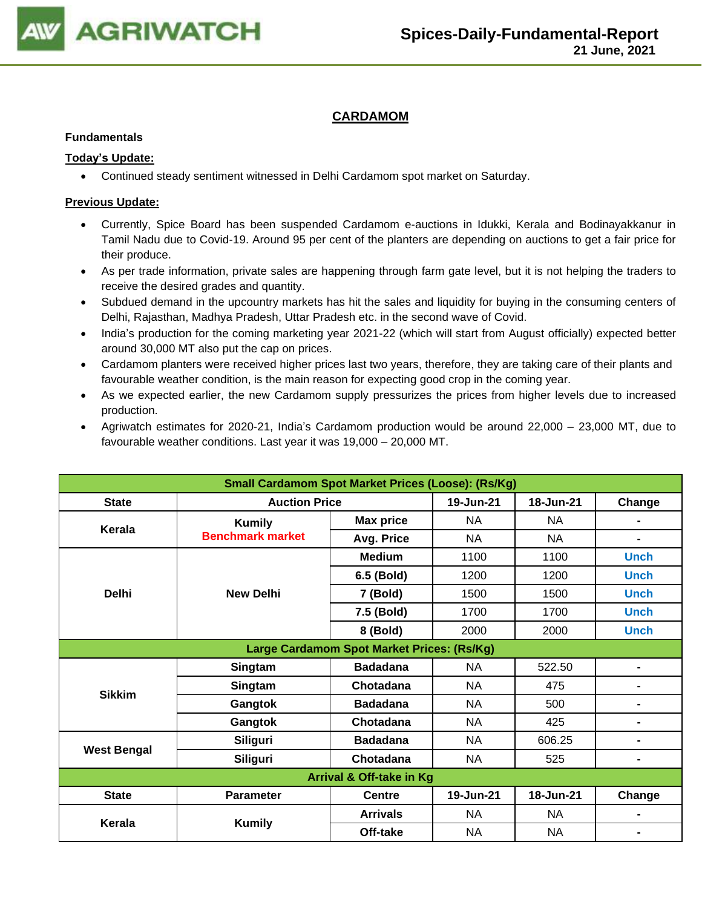

## **CARDAMOM**

#### **Fundamentals**

### **Today's Update:**

• Continued steady sentiment witnessed in Delhi Cardamom spot market on Saturday.

- Currently, Spice Board has been suspended Cardamom e-auctions in Idukki, Kerala and Bodinayakkanur in Tamil Nadu due to Covid-19. Around 95 per cent of the planters are depending on auctions to get a fair price for their produce.
- As per trade information, private sales are happening through farm gate level, but it is not helping the traders to receive the desired grades and quantity.
- Subdued demand in the upcountry markets has hit the sales and liquidity for buying in the consuming centers of Delhi, Rajasthan, Madhya Pradesh, Uttar Pradesh etc. in the second wave of Covid.
- India's production for the coming marketing year 2021-22 (which will start from August officially) expected better around 30,000 MT also put the cap on prices.
- Cardamom planters were received higher prices last two years, therefore, they are taking care of their plants and favourable weather condition, is the main reason for expecting good crop in the coming year.
- As we expected earlier, the new Cardamom supply pressurizes the prices from higher levels due to increased production.
- Agriwatch estimates for 2020-21, India's Cardamom production would be around 22,000 23,000 MT, due to favourable weather conditions. Last year it was 19,000 – 20,000 MT.

| <b>Small Cardamom Spot Market Prices (Loose): (Rs/Kg)</b> |                         |                                            |           |           |                |  |  |
|-----------------------------------------------------------|-------------------------|--------------------------------------------|-----------|-----------|----------------|--|--|
| <b>State</b>                                              | <b>Auction Price</b>    |                                            | 19-Jun-21 | 18-Jun-21 | Change         |  |  |
| Kerala                                                    | <b>Kumily</b>           | <b>Max price</b>                           | <b>NA</b> | NA        |                |  |  |
|                                                           | <b>Benchmark market</b> | Avg. Price                                 | <b>NA</b> | NA        | $\blacksquare$ |  |  |
|                                                           |                         | <b>Medium</b>                              | 1100      | 1100      | <b>Unch</b>    |  |  |
|                                                           |                         | 6.5 (Bold)                                 | 1200      | 1200      | <b>Unch</b>    |  |  |
| <b>Delhi</b>                                              | <b>New Delhi</b>        | 7 (Bold)                                   | 1500      | 1500      | <b>Unch</b>    |  |  |
|                                                           |                         | 7.5 (Bold)                                 | 1700      | 1700      | <b>Unch</b>    |  |  |
|                                                           |                         | 8 (Bold)                                   | 2000      | 2000      | <b>Unch</b>    |  |  |
|                                                           |                         | Large Cardamom Spot Market Prices: (Rs/Kg) |           |           |                |  |  |
|                                                           | Singtam                 | <b>Badadana</b>                            | <b>NA</b> | 522.50    | $\blacksquare$ |  |  |
| <b>Sikkim</b>                                             | Singtam                 | Chotadana                                  | <b>NA</b> | 475       |                |  |  |
|                                                           | Gangtok                 | <b>Badadana</b>                            | <b>NA</b> | 500       | $\blacksquare$ |  |  |
|                                                           | Gangtok                 | Chotadana                                  | <b>NA</b> | 425       | $\blacksquare$ |  |  |
|                                                           | <b>Siliguri</b>         | <b>Badadana</b>                            | <b>NA</b> | 606.25    | $\blacksquare$ |  |  |
| <b>West Bengal</b>                                        | Siliguri                | Chotadana                                  | <b>NA</b> | 525       | $\blacksquare$ |  |  |
| Arrival & Off-take in Kg                                  |                         |                                            |           |           |                |  |  |
| <b>State</b>                                              | <b>Parameter</b>        | <b>Centre</b>                              | 19-Jun-21 | 18-Jun-21 | Change         |  |  |
| Kerala                                                    | <b>Kumily</b>           | <b>Arrivals</b>                            | <b>NA</b> | NA        | $\blacksquare$ |  |  |
|                                                           |                         | Off-take                                   | <b>NA</b> | <b>NA</b> | $\blacksquare$ |  |  |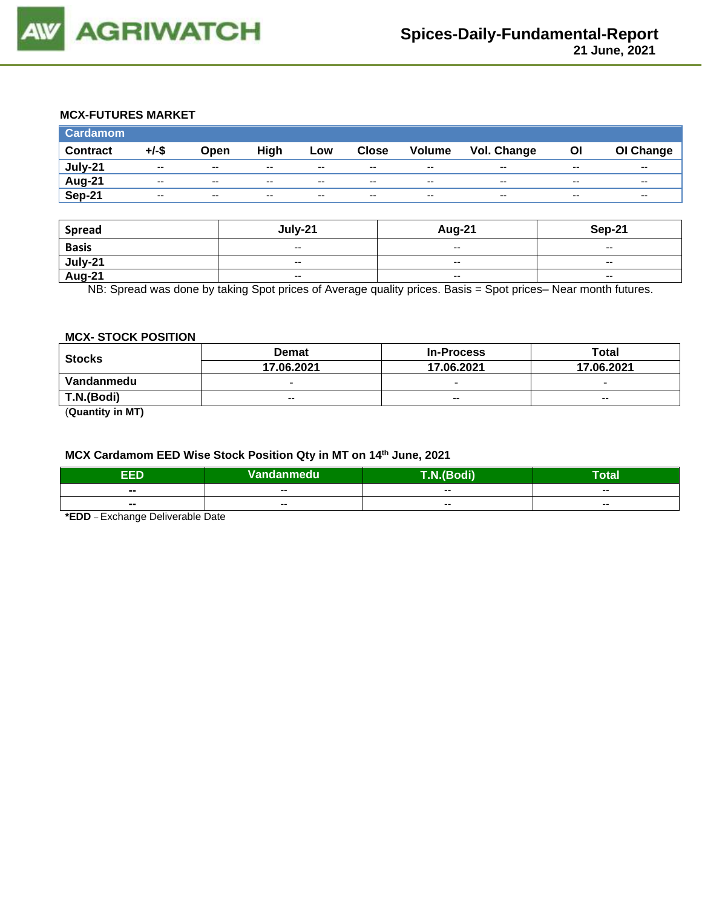

## **MCX-FUTURES MARKET**

| <b>Cardamom</b> |               |               |       |       |              |        |                    |       |           |
|-----------------|---------------|---------------|-------|-------|--------------|--------|--------------------|-------|-----------|
| <b>Contract</b> | $+/-$ \$      | Open          | High  | Low   | <b>Close</b> | Volume | <b>Vol. Change</b> | OI    | OI Change |
| July-21         | $\sim$ $\sim$ | $-$           | $- -$ | $- -$ | $-$          | $-$    | $- -$              | $- -$ | $- -$     |
| Aug-21          | $- -$         | $\sim$ $\sim$ | $- -$ | $- -$ | $- -$        | $- -$  | $- -$              | $- -$ | $- -$     |
| Sep-21          | $- -$         | $- -$         | $- -$ | $- -$ | $- -$        | $- -$  | $- -$              | $- -$ | $- -$     |

| <b>Spread</b>  | July-21                  | <b>Aug-21</b>            | Sep-21                   |
|----------------|--------------------------|--------------------------|--------------------------|
| <b>Basis</b>   | $-$                      | $\overline{\phantom{a}}$ | $\overline{\phantom{a}}$ |
| <u>July-21</u> | $\overline{\phantom{a}}$ | $-$                      | $\overline{\phantom{a}}$ |
| <b>Aug-21</b>  | $\overline{\phantom{a}}$ | $-$                      | $\overline{\phantom{a}}$ |

NB: Spread was done by taking Spot prices of Average quality prices. Basis = Spot prices– Near month futures.

#### **MCX- STOCK POSITION**

| <b>Stocks</b> | <b>Demat</b>             | <b>In-Process</b>        | Total                    |  |
|---------------|--------------------------|--------------------------|--------------------------|--|
|               | 17.06.2021               | 17.06.2021               | 17.06.2021               |  |
| Vandanmedu    | $\overline{\phantom{0}}$ | $\overline{\phantom{0}}$ | $\overline{\phantom{0}}$ |  |
| T.N.(Bodi)    | $- -$                    | $-$                      | $- -$                    |  |
|               |                          |                          |                          |  |

(**Quantity in MT)**

## **MCX Cardamom EED Wise Stock Position Qty in MT on 14th June, 2021**

| ED<br>-<br>- | Vandanmedu | <b>PERSONAL</b><br>--- | Total |
|--------------|------------|------------------------|-------|
| $- -$        | $- -$      | $- -$                  | $- -$ |
| $- -$        | $- -$      | $- -$                  | $- -$ |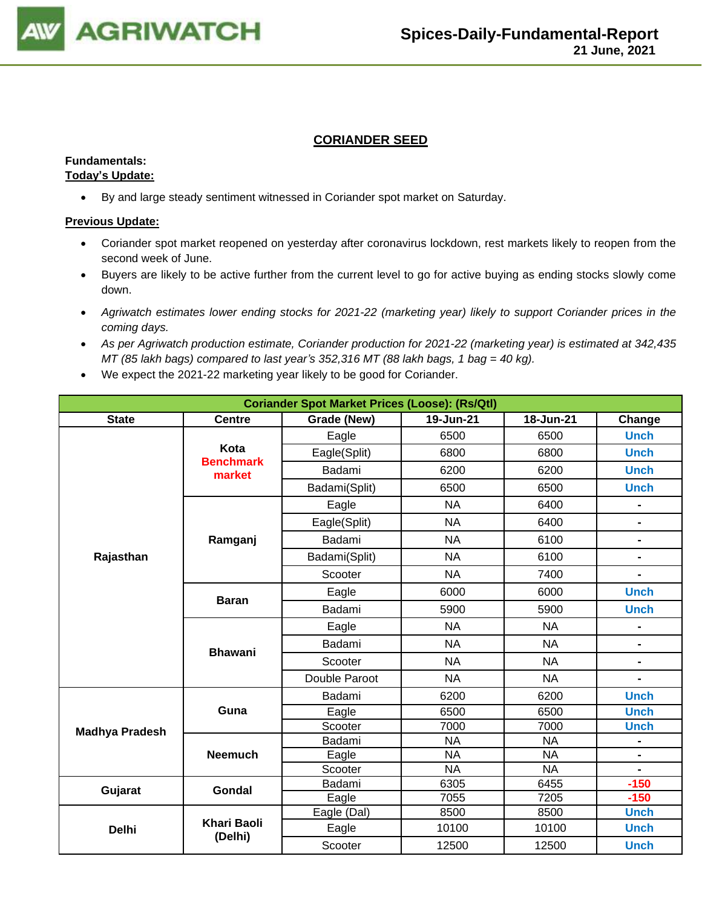

## **CORIANDER SEED**

#### **Fundamentals: Today's Update:**

• By and large steady sentiment witnessed in Coriander spot market on Saturday.

- Coriander spot market reopened on yesterday after coronavirus lockdown, rest markets likely to reopen from the second week of June.
- Buyers are likely to be active further from the current level to go for active buying as ending stocks slowly come down.
- *Agriwatch estimates lower ending stocks for 2021-22 (marketing year) likely to support Coriander prices in the coming days.*
- *As per Agriwatch production estimate, Coriander production for 2021-22 (marketing year) is estimated at 342,435 MT (85 lakh bags) compared to last year's 352,316 MT (88 lakh bags, 1 bag = 40 kg).*
- We expect the 2021-22 marketing year likely to be good for Coriander.

| <b>Coriander Spot Market Prices (Loose): (Rs/Qtl)</b> |                          |               |           |           |                |  |  |
|-------------------------------------------------------|--------------------------|---------------|-----------|-----------|----------------|--|--|
| <b>State</b>                                          | <b>Centre</b>            | Grade (New)   | 19-Jun-21 | 18-Jun-21 | Change         |  |  |
|                                                       |                          | Eagle         | 6500      | 6500      | <b>Unch</b>    |  |  |
|                                                       | Kota<br><b>Benchmark</b> | Eagle(Split)  | 6800      | 6800      | <b>Unch</b>    |  |  |
|                                                       | market                   | Badami        | 6200      | 6200      | <b>Unch</b>    |  |  |
|                                                       |                          | Badami(Split) | 6500      | 6500      | <b>Unch</b>    |  |  |
|                                                       |                          | Eagle         | <b>NA</b> | 6400      | $\blacksquare$ |  |  |
|                                                       |                          | Eagle(Split)  | <b>NA</b> | 6400      | $\frac{1}{2}$  |  |  |
|                                                       | Ramganj                  | Badami        | <b>NA</b> | 6100      | $\blacksquare$ |  |  |
| Rajasthan                                             |                          | Badami(Split) | <b>NA</b> | 6100      | $\blacksquare$ |  |  |
|                                                       |                          | Scooter       | <b>NA</b> | 7400      | -              |  |  |
|                                                       |                          | Eagle         | 6000      | 6000      | <b>Unch</b>    |  |  |
|                                                       | <b>Baran</b>             | Badami        | 5900      | 5900      | <b>Unch</b>    |  |  |
|                                                       | <b>Bhawani</b>           | Eagle         | <b>NA</b> | <b>NA</b> |                |  |  |
|                                                       |                          | Badami        | <b>NA</b> | <b>NA</b> | $\blacksquare$ |  |  |
|                                                       |                          | Scooter       | <b>NA</b> | <b>NA</b> | $\blacksquare$ |  |  |
|                                                       |                          | Double Paroot | <b>NA</b> | <b>NA</b> |                |  |  |
|                                                       |                          | Badami        | 6200      | 6200      | <b>Unch</b>    |  |  |
|                                                       | Guna                     | Eagle         | 6500      | 6500      | <b>Unch</b>    |  |  |
| <b>Madhya Pradesh</b>                                 |                          | Scooter       | 7000      | 7000      | <b>Unch</b>    |  |  |
|                                                       |                          | Badami        | <b>NA</b> | <b>NA</b> |                |  |  |
|                                                       | <b>Neemuch</b>           | Eagle         | <b>NA</b> | <b>NA</b> | $\blacksquare$ |  |  |
|                                                       |                          | Scooter       | <b>NA</b> | <b>NA</b> | $\blacksquare$ |  |  |
| Gujarat                                               | Gondal                   | Badami        | 6305      | 6455      | $-150$         |  |  |
|                                                       |                          | Eagle         | 7055      | 7205      | $-150$         |  |  |
|                                                       |                          | Eagle (Dal)   | 8500      | 8500      | <b>Unch</b>    |  |  |
| <b>Delhi</b>                                          | Khari Baoli<br>(Delhi)   | Eagle         | 10100     | 10100     | <b>Unch</b>    |  |  |
|                                                       |                          | Scooter       | 12500     | 12500     | <b>Unch</b>    |  |  |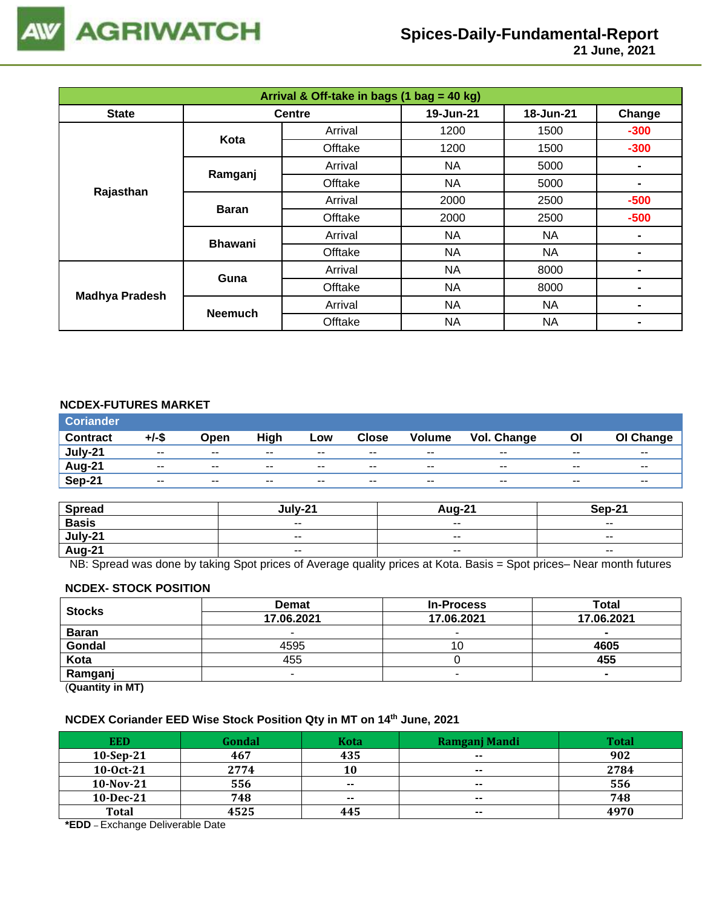

 **21 June, 2021**

| Arrival & Off-take in bags (1 bag = 40 kg) |                |               |           |           |                |  |  |
|--------------------------------------------|----------------|---------------|-----------|-----------|----------------|--|--|
| <b>State</b>                               |                | <b>Centre</b> | 19-Jun-21 | 18-Jun-21 | Change         |  |  |
|                                            | Kota           | Arrival       | 1200      | 1500      | $-300$         |  |  |
|                                            |                | Offtake       | 1200      | 1500      | $-300$         |  |  |
|                                            |                | Arrival       | NA        | 5000      |                |  |  |
| Rajasthan                                  | Ramganj        | Offtake       | <b>NA</b> | 5000      | $\blacksquare$ |  |  |
|                                            |                | Arrival       | 2000      | 2500      | $-500$         |  |  |
|                                            | <b>Baran</b>   | Offtake       | 2000      | 2500      | $-500$         |  |  |
|                                            | <b>Bhawani</b> | Arrival       | NA        | <b>NA</b> | $\blacksquare$ |  |  |
|                                            |                | Offtake       | <b>NA</b> | <b>NA</b> | ۰              |  |  |
| <b>Madhya Pradesh</b>                      | Guna           | Arrival       | NA        | 8000      | -              |  |  |
|                                            |                | Offtake       | <b>NA</b> | 8000      | ۰              |  |  |
|                                            | <b>Neemuch</b> | Arrival       | <b>NA</b> | <b>NA</b> | ۰              |  |  |
|                                            |                | Offtake       | <b>NA</b> | <b>NA</b> | -              |  |  |

## **NCDEX-FUTURES MARKET**

| <b>Coriander</b> |                          |                          |                          |       |               |               |             |       |                          |
|------------------|--------------------------|--------------------------|--------------------------|-------|---------------|---------------|-------------|-------|--------------------------|
| <b>Contract</b>  | $+/-$ \$                 | Open                     | High                     | Low   | <b>Close</b>  | <b>Volume</b> | Vol. Change | OI    | OI Change                |
| July-21          | $\overline{\phantom{a}}$ | $\overline{\phantom{a}}$ | $\overline{\phantom{a}}$ | $- -$ | $\sim$ $\sim$ | $\sim$ $\sim$ | $- -$       | $- -$ | $\overline{\phantom{a}}$ |
| <b>Aug-21</b>    | $- -$                    | $\sim$ $\sim$            | $- -$                    | $- -$ | $- -$         | $- -$         | $-$         | $-$   | $- -$                    |
| Sep-21           | $-$                      | $\sim$ $\sim$            | $- -$                    | $- -$ | $- -$         | $- -$         | $-$         | $-$   | $- -$                    |

| <b>Spread</b> | $1.111 - 24$             | Aug-21                   | Sep-21                   |
|---------------|--------------------------|--------------------------|--------------------------|
| <b>Basis</b>  | $\sim$ $\sim$            | $\sim$ $\sim$            | $\overline{\phantom{a}}$ |
| $July-21$     | $\overline{\phantom{a}}$ | $\overline{\phantom{a}}$ | $- -$                    |
| Aug-21        | $\overline{\phantom{a}}$ | $\sim$ $\sim$            | $\overline{\phantom{a}}$ |

NB: Spread was done by taking Spot prices of Average quality prices at Kota. Basis = Spot prices– Near month futures

## **NCDEX- STOCK POSITION**

| <b>Stocks</b> | <b>Demat</b> | <b>In-Process</b>        | Total      |
|---------------|--------------|--------------------------|------------|
|               | 17.06.2021   | 17.06.2021               | 17.06.2021 |
| <b>Baran</b>  |              | $\overline{\phantom{a}}$ | $\sim$     |
| Gondal        | 4595         | 1 U                      | 4605       |
| Kota          | 455          |                          | 455        |
| Ramganj       |              | $\overline{\phantom{a}}$ | $\sim$     |

(**Quantity in MT)**

## **NCDEX Coriander EED Wise Stock Position Qty in MT on 14th June, 2021**

| <b>EED</b>   | Gondal | <b>Kota</b> | Ramganj Mandi | Total |
|--------------|--------|-------------|---------------|-------|
| $10-Sep-21$  | 467    | 435         | $- -$         | 902   |
| 10-0ct-21    | 2774   | 10          | $\sim$ $\sim$ | 2784  |
| 10-Nov-21    | 556    | $- -$       | $- -$         | 556   |
| $10$ -Dec-21 | 748    | $- -$       | $\sim$        | 748   |
| <b>Total</b> | 4525   | 445         | $\sim$        | 4970  |